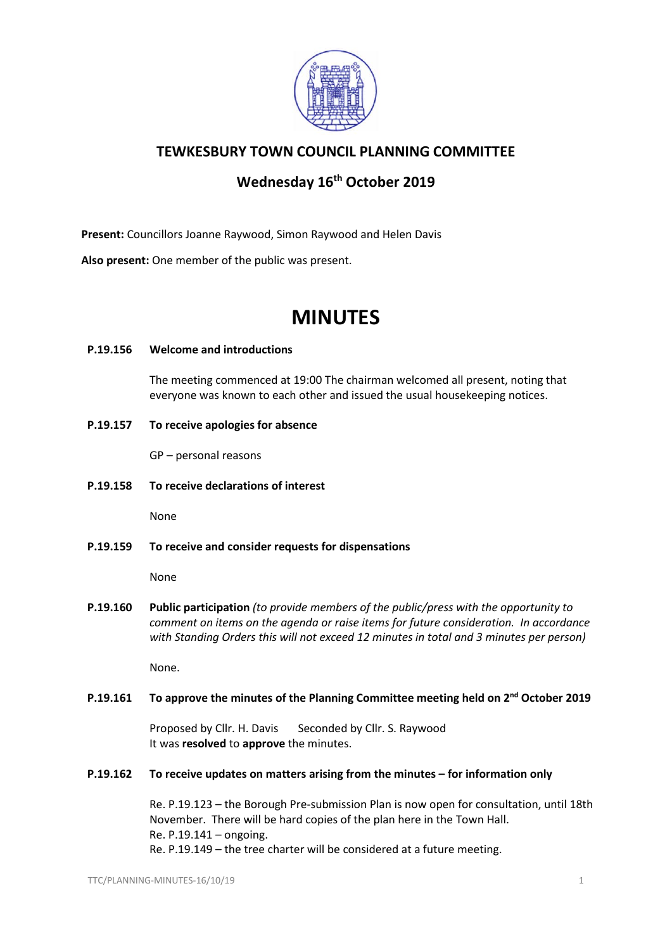

# **TEWKESBURY TOWN COUNCIL PLANNING COMMITTEE**

# **Wednesday 16th October 2019**

**Present:** Councillors Joanne Raywood, Simon Raywood and Helen Davis

**Also present:** One member of the public was present.

# **MINUTES**

#### **P.19.156 Welcome and introductions**

The meeting commenced at 19:00 The chairman welcomed all present, noting that everyone was known to each other and issued the usual housekeeping notices.

**P.19.157 To receive apologies for absence**

GP – personal reasons

**P.19.158 To receive declarations of interest**

None

**P.19.159 To receive and consider requests for dispensations**

None

**P.19.160 Public participation** *(to provide members of the public/press with the opportunity to comment on items on the agenda or raise items for future consideration. In accordance with Standing Orders this will not exceed 12 minutes in total and 3 minutes per person)*

None.

# **P.19.161 To approve the minutes of the Planning Committee meeting held on 2nd October 2019**

Proposed by Cllr. H. Davis Seconded by Cllr. S. Raywood It was **resolved** to **approve** the minutes.

**P.19.162 To receive updates on matters arising from the minutes – for information only**

Re. P.19.123 – the Borough Pre-submission Plan is now open for consultation, until 18th November. There will be hard copies of the plan here in the Town Hall. Re. P.19.141 – ongoing. Re. P.19.149 – the tree charter will be considered at a future meeting.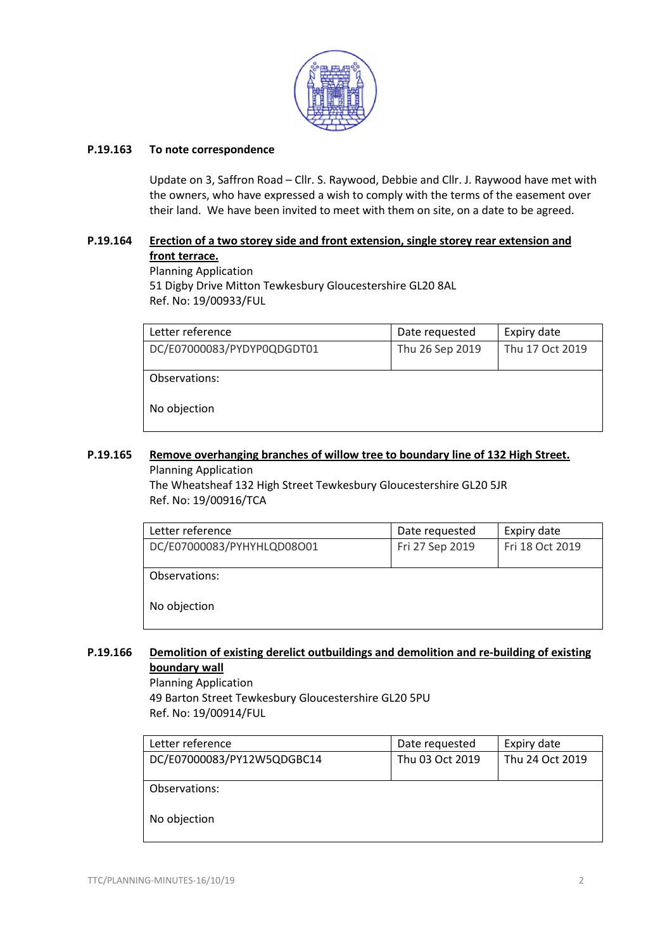

#### **P.19.163 To note correspondence**

Update on 3, Saffron Road – Cllr. S. Raywood, Debbie and Cllr. J. Raywood have met with the owners, who have expressed a wish to comply with the terms of the easement over their land. We have been invited to meet with them on site, on a date to be agreed.

# **P.19.164 [Erection of a two storey side and front extension, single storey rear extension and](https://publicaccess.tewkesbury.gov.uk/online-applications/applicationDetails.do?activeTab=summary&keyVal=PYDYOYQDGDT00&prevPage=inTray)  [front terrace.](https://publicaccess.tewkesbury.gov.uk/online-applications/applicationDetails.do?activeTab=summary&keyVal=PYDYOYQDGDT00&prevPage=inTray)**

Planning Application 51 Digby Drive Mitton Tewkesbury Gloucestershire GL20 8AL Ref. No: 19/00933/FUL

| Letter reference           | Date requested  | Expiry date     |
|----------------------------|-----------------|-----------------|
| DC/E07000083/PYDYP0QDGDT01 | Thu 26 Sep 2019 | Thu 17 Oct 2019 |
|                            |                 |                 |
| Observations:              |                 |                 |
|                            |                 |                 |
| No objection               |                 |                 |
|                            |                 |                 |

# **P.19.165 [Remove overhanging branches of willow tree to boundary line of 132 High Street.](https://publicaccess.tewkesbury.gov.uk/online-applications/applicationDetails.do?activeTab=summary&keyVal=PY2HVHQD0IA00&prevPage=inTray)** Planning Application

The Wheatsheaf 132 High Street Tewkesbury Gloucestershire GL20 5JR Ref. No: 19/00916/TCA

| Letter reference           | Date requested  | Expiry date     |
|----------------------------|-----------------|-----------------|
| DC/E07000083/PYHYHLQD08O01 | Fri 27 Sep 2019 | Fri 18 Oct 2019 |
|                            |                 |                 |
| Observations:              |                 |                 |
| No objection               |                 |                 |

#### **P.19.166 [Demolition of existing derelict outbuildings and demolition and re-building of existing](https://publicaccess.tewkesbury.gov.uk/online-applications/applicationDetails.do?activeTab=summary&keyVal=PY12W4QDGBC00&prevPage=inTray)  [boundary wall](https://publicaccess.tewkesbury.gov.uk/online-applications/applicationDetails.do?activeTab=summary&keyVal=PY12W4QDGBC00&prevPage=inTray)**

Planning Application 49 Barton Street Tewkesbury Gloucestershire GL20 5PU Ref. No: 19/00914/FUL

| Letter reference           | Date requested  | Expiry date     |
|----------------------------|-----------------|-----------------|
| DC/E07000083/PY12W5QDGBC14 | Thu 03 Oct 2019 | Thu 24 Oct 2019 |
|                            |                 |                 |
| Observations:              |                 |                 |
| No objection               |                 |                 |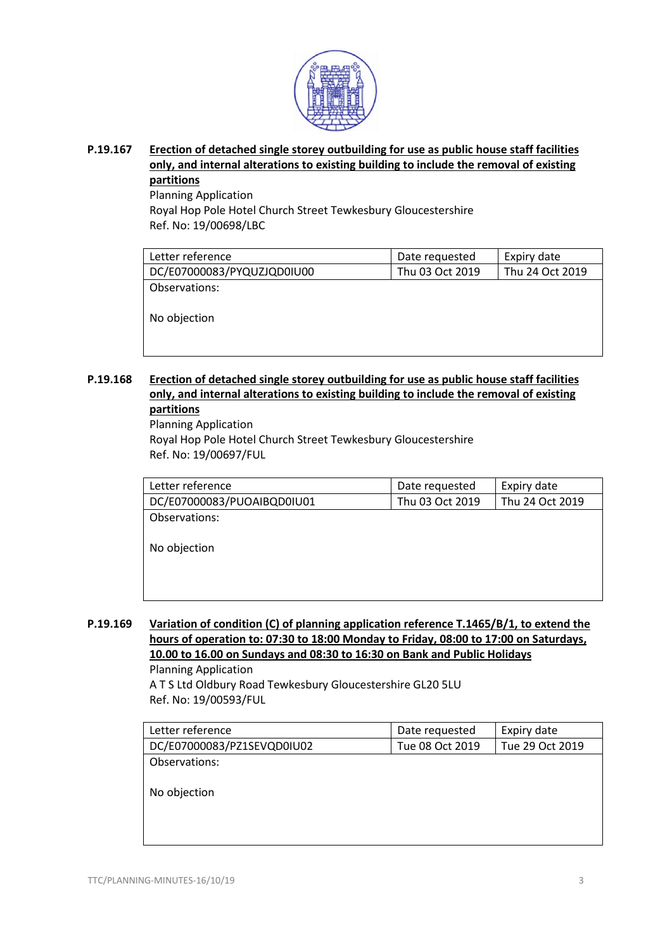

**P.19.167 [Erection of detached single storey outbuilding for use as public house staff facilities](https://publicaccess.tewkesbury.gov.uk/online-applications/applicationDetails.do?activeTab=summary&keyVal=PUDIQ1QDN5700&prevPage=inTray)  only, and internal [alterations to existing building to include the removal of existing](https://publicaccess.tewkesbury.gov.uk/online-applications/applicationDetails.do?activeTab=summary&keyVal=PUDIQ1QDN5700&prevPage=inTray)  [partitions](https://publicaccess.tewkesbury.gov.uk/online-applications/applicationDetails.do?activeTab=summary&keyVal=PUDIQ1QDN5700&prevPage=inTray)**

Planning Application

Royal Hop Pole Hotel Church Street Tewkesbury Gloucestershire Ref. No: 19/00698/LBC

| Letter reference           | Date requested  | Expiry date     |
|----------------------------|-----------------|-----------------|
| DC/E07000083/PYQUZJQD0IU00 | Thu 03 Oct 2019 | Thu 24 Oct 2019 |
| Observations:              |                 |                 |
|                            |                 |                 |
| No objection               |                 |                 |

**P.19.168 [Erection of detached single storey outbuilding for use as public house staff facilities](https://publicaccess.tewkesbury.gov.uk/online-applications/applicationDetails.do?activeTab=summary&keyVal=PUDIPZQDN5600&prevPage=inTray)  only, and internal [alterations to existing building to include the removal of existing](https://publicaccess.tewkesbury.gov.uk/online-applications/applicationDetails.do?activeTab=summary&keyVal=PUDIPZQDN5600&prevPage=inTray)  [partitions](https://publicaccess.tewkesbury.gov.uk/online-applications/applicationDetails.do?activeTab=summary&keyVal=PUDIPZQDN5600&prevPage=inTray)**

Planning Application Royal Hop Pole Hotel Church Street Tewkesbury Gloucestershire Ref. No: 19/00697/FUL

| Letter reference           | Date requested  | Expiry date     |
|----------------------------|-----------------|-----------------|
| DC/E07000083/PUOAIBQD0IU01 | Thu 03 Oct 2019 | Thu 24 Oct 2019 |
| Observations:              |                 |                 |
|                            |                 |                 |
| No objection               |                 |                 |
|                            |                 |                 |
|                            |                 |                 |
|                            |                 |                 |

**P.19.169 [Variation of condition \(C\) of planning application reference T.1465/B/1, to extend the](https://publicaccess.tewkesbury.gov.uk/online-applications/applicationDetails.do?activeTab=summary&keyVal=PSVNTBQDMR200&prevPage=inTray)  [hours of operation to: 07:30 to 18:00 Monday to Friday, 08:00 to 17:00 on Saturdays,](https://publicaccess.tewkesbury.gov.uk/online-applications/applicationDetails.do?activeTab=summary&keyVal=PSVNTBQDMR200&prevPage=inTray)  [10.00 to 16.00 on Sundays and 08:30 to 16:30 on Bank and Public Holidays](https://publicaccess.tewkesbury.gov.uk/online-applications/applicationDetails.do?activeTab=summary&keyVal=PSVNTBQDMR200&prevPage=inTray)** Planning Application

A T S Ltd Oldbury Road Tewkesbury Gloucestershire GL20 5LU Ref. No: 19/00593/FUL

| Letter reference           | Date requested  | Expiry date     |
|----------------------------|-----------------|-----------------|
| DC/E07000083/PZ1SEVQD0IU02 | Tue 08 Oct 2019 | Tue 29 Oct 2019 |
| Observations:              |                 |                 |

No objection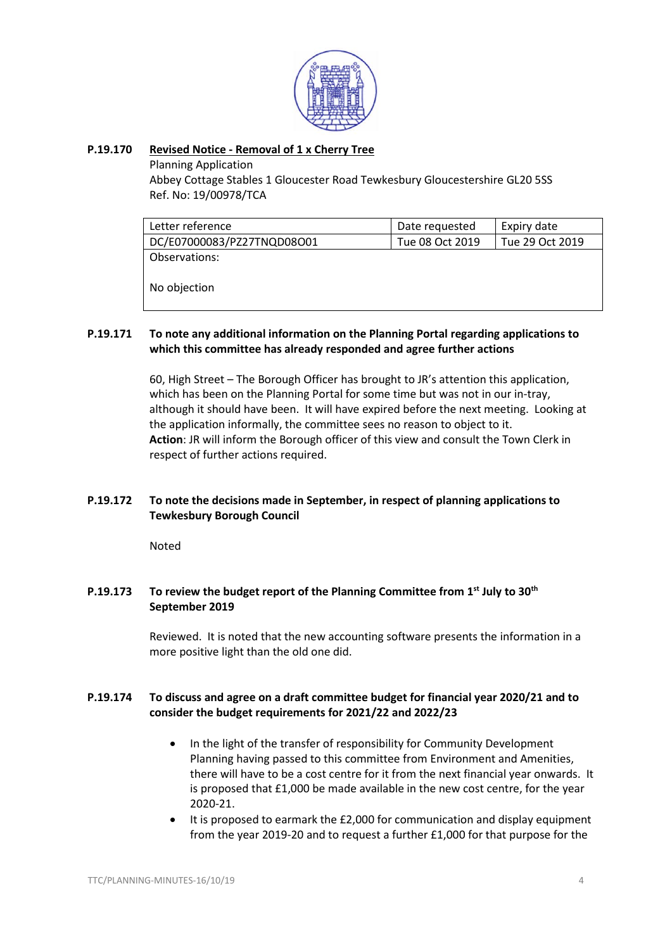

#### **P.19.170 Revised Notice - [Removal of 1 x Cherry Tree](https://publicaccess.tewkesbury.gov.uk/online-applications/applicationDetails.do?activeTab=summary&keyVal=PZ1VRBQD0IA00&prevPage=inTray)**

Planning Application

Abbey Cottage Stables 1 Gloucester Road Tewkesbury Gloucestershire GL20 5SS Ref. No: 19/00978/TCA

| Date requested  | Expiry date     |
|-----------------|-----------------|
| Tue 08 Oct 2019 | Tue 29 Oct 2019 |
|                 |                 |
|                 |                 |
|                 |                 |
|                 |                 |

#### **P.19.171 To note any additional information on the Planning Portal regarding applications to which this committee has already responded and agree further actions**

60, High Street – The Borough Officer has brought to JR's attention this application, which has been on the Planning Portal for some time but was not in our in-tray, although it should have been. It will have expired before the next meeting. Looking at the application informally, the committee sees no reason to object to it. **Action**: JR will inform the Borough officer of this view and consult the Town Clerk in respect of further actions required.

# **P.19.172 To note the decisions made in September, in respect of planning applications to Tewkesbury Borough Council**

Noted

# **P.19.173 To review the budget report of the Planning Committee from 1st July to 30th September 2019**

Reviewed. It is noted that the new accounting software presents the information in a more positive light than the old one did.

# **P.19.174 To discuss and agree on a draft committee budget for financial year 2020/21 and to consider the budget requirements for 2021/22 and 2022/23**

- In the light of the transfer of responsibility for Community Development Planning having passed to this committee from Environment and Amenities, there will have to be a cost centre for it from the next financial year onwards. It is proposed that £1,000 be made available in the new cost centre, for the year 2020-21.
- It is proposed to earmark the £2,000 for communication and display equipment from the year 2019-20 and to request a further £1,000 for that purpose for the